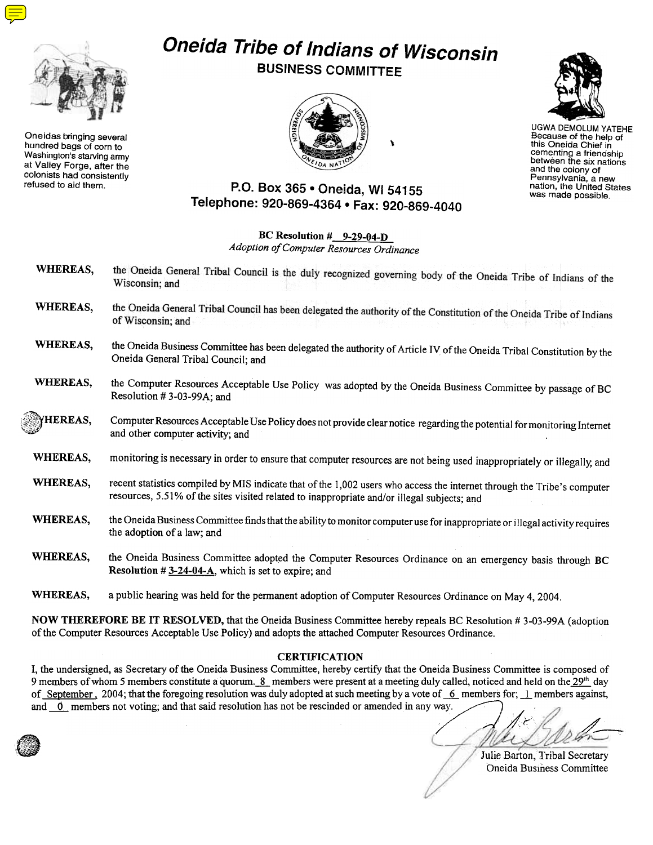

Oneidas bringing several hundred bags of corn to Washington's starving army at Valley Forge, after the colonists had consistently refused to aid them.

# Oneida Tribe of Indians of Wisconsin

BUSINESS COMMITTEE



 $\mathbf{I}$ 



UGWA DEMOLUM YATEHE Because of the help of this Oneida Chief in cementing a friendship between the six nations and the colony of Pennsylvania. a new nation, the United States was made possible.

## P.O. Box 365 . Oneida, WI 54155 Telephone: 920-869-4364 · Fax: 920-869-4040

BC Resolution  $\frac{\text{H}}{\text{H}}$  9-29-04-D Adoption of Computer Resources Ordinance

- the Oneida General Tribal Council is the duly recognized governing body of the Oneida Tribe of Indians of the WHEREAS, Wisconsin; and the Oneida General Tribal Council has been delegated the authority of the Constitution of the Oneida Tribe of Indians WHEREAS, of Wisconsin; and WHEREAS, the Oneida Business Committee has been delegated the authority of Article IV of the Oneida Tribal Constitution by the Oneida General Tribal Council; and WHEREAS, the Computer Resources Acceptable Use Policy was adopted by the Oneida Business Committee by passage of BC Resolution # 3-03-99A; and Computer Resources Acceptable Use Policy does not provide clear notice regarding the potential for monitoring Internet HEREAS,  $\langle \rangle$ and other computer activity; and WHEREAS, monitoring is necessary in order to ensure that computer resources are not being used inappropriately or illegally, and WHEREAS, recent statistics compiled by MIS indicate that of the 1,002 users who access the internet through the Tribe's computer resources, 5.51% of the sites visited related to inappropriate and/or illegal subjects; and WHEREAS, the Oneida Business Committee finds that the ability to monitor computer use for inappropriate or illegal activity requires the adoption of a law; and
	- WHEREAS, the Oneida Business Committee adopted the Computer Resources Ordinance on an emergency basis through BC **Resolution # 3-24-04-A**, which is set to expire; and

WHEREAS, a public hearing was held for the permanent adoption of Computer Resources Ordinance on May 4, 2004.

NOW THEREFORE BE IT RESOLVED, that the Oneida Business Committee hereby repeals BC Resolution # 3-03-99A (adoption of the Computer Resources Acceptable Use Policy) and adopts the attached Computer Resources Ordinance.

#### **CERTIFICATION**

I, the undersigned, as Secretary of the Oneida Business Committee, hereby certify that the Oneida Business Committee is composed of 9 members of whom 5 members constitute a quorum. 8 members were present at a meeting duly called, noticed and held on the 29<sup>th</sup> day of September, 2004; that the foregoing resolution was duly adopted at such meeting by a vote of  $-6$  members for; 1 members against, and  $~\sigma$  members not voting; and that said resolution has not be rescinded or amended in any way.

/~ /~~

Julie Barton, Tribal Secretary Oneida Business Committee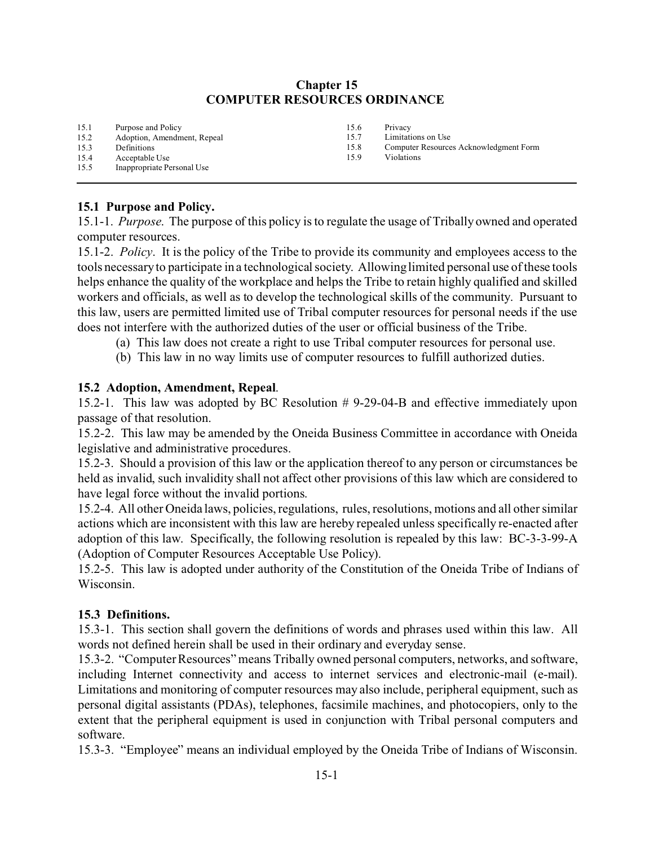### **Chapter 15 COMPUTER RESOURCES ORDINANCE**

| Purpose and Policy          | 15.6 | Privacy                                |
|-----------------------------|------|----------------------------------------|
| Adoption, Amendment, Repeal | 15.7 | Limitations on Use                     |
| Definitions                 | 15.8 | Computer Resources Acknowledgment Form |
| Acceptable Use              | 15.9 | Violations                             |
| Inappropriate Personal Use  |      |                                        |
|                             |      |                                        |

#### **15.1 Purpose and Policy.**

15.1-1. *Purpose*. The purpose of this policy is to regulate the usage of Tribally owned and operated computer resources.

15.1-2. *Policy*. It is the policy of the Tribe to provide its community and employees access to the tools necessary to participate in a technological society. Allowing limited personal use of these tools helps enhance the quality of the workplace and helps the Tribe to retain highly qualified and skilled workers and officials, as well as to develop the technological skills of the community. Pursuant to this law, users are permitted limited use of Tribal computer resources for personal needs if the use does not interfere with the authorized duties of the user or official business of the Tribe.

- (a) This law does not create a right to use Tribal computer resources for personal use.
- (b) This law in no way limits use of computer resources to fulfill authorized duties.

#### **15.2 Adoption, Amendment, Repeal**.

15.2-1. This law was adopted by BC Resolution # 9-29-04-B and effective immediately upon passage of that resolution.

15.2-2. This law may be amended by the Oneida Business Committee in accordance with Oneida legislative and administrative procedures.

15.2-3. Should a provision of this law or the application thereof to any person or circumstances be held as invalid, such invalidity shall not affect other provisions of this law which are considered to have legal force without the invalid portions.

15.2-4. All other Oneida laws, policies, regulations, rules, resolutions, motions and all other similar actions which are inconsistent with this law are hereby repealed unless specifically re-enacted after adoption of this law. Specifically, the following resolution is repealed by this law: BC-3-3-99-A (Adoption of Computer Resources Acceptable Use Policy).

15.2-5. This law is adopted under authority of the Constitution of the Oneida Tribe of Indians of Wisconsin.

#### **15.3 Definitions.**

15.3-1. This section shall govern the definitions of words and phrases used within this law. All words not defined herein shall be used in their ordinary and everyday sense.

15.3-2. "Computer Resources" means Tribally owned personal computers, networks, and software, including Internet connectivity and access to internet services and electronic-mail (e-mail). Limitations and monitoring of computer resources may also include, peripheral equipment, such as personal digital assistants (PDAs), telephones, facsimile machines, and photocopiers, only to the extent that the peripheral equipment is used in conjunction with Tribal personal computers and software.

15.3-3. "Employee" means an individual employed by the Oneida Tribe of Indians of Wisconsin.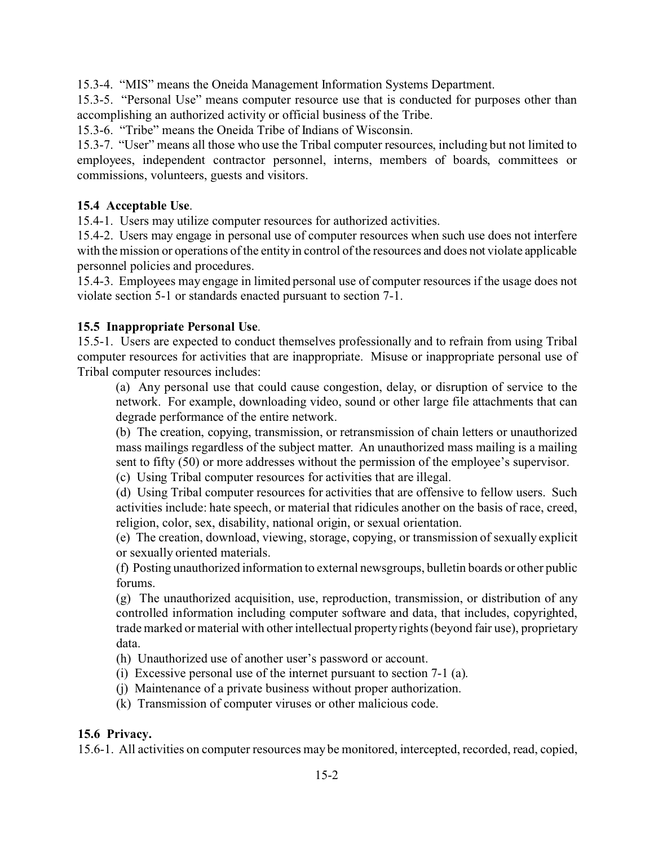15.3-4. "MIS" means the Oneida Management Information Systems Department.

15.3-5. "Personal Use" means computer resource use that is conducted for purposes other than accomplishing an authorized activity or official business of the Tribe.

15.3-6. "Tribe" means the Oneida Tribe of Indians of Wisconsin.

15.3-7. "User" means all those who use the Tribal computer resources, including but not limited to employees, independent contractor personnel, interns, members of boards, committees or commissions, volunteers, guests and visitors.

### **15.4 Acceptable Use**.

15.4-1. Users may utilize computer resources for authorized activities.

15.4-2. Users may engage in personal use of computer resources when such use does not interfere with the mission or operations of the entity in control of the resources and does not violate applicable personnel policies and procedures.

15.4-3. Employees may engage in limited personal use of computer resources if the usage does not violate section 5-1 or standards enacted pursuant to section 7-1.

### **15.5 Inappropriate Personal Use**.

15.5-1. Users are expected to conduct themselves professionally and to refrain from using Tribal computer resources for activities that are inappropriate. Misuse or inappropriate personal use of Tribal computer resources includes:

(a) Any personal use that could cause congestion, delay, or disruption of service to the network. For example, downloading video, sound or other large file attachments that can degrade performance of the entire network.

(b) The creation, copying, transmission, or retransmission of chain letters or unauthorized mass mailings regardless of the subject matter. An unauthorized mass mailing is a mailing sent to fifty (50) or more addresses without the permission of the employee's supervisor.

(c) Using Tribal computer resources for activities that are illegal.

(d) Using Tribal computer resources for activities that are offensive to fellow users. Such activities include: hate speech, or material that ridicules another on the basis of race, creed, religion, color, sex, disability, national origin, or sexual orientation.

(e) The creation, download, viewing, storage, copying, or transmission of sexually explicit or sexually oriented materials.

(f) Posting unauthorized information to external newsgroups, bulletin boards or other public forums.

(g) The unauthorized acquisition, use, reproduction, transmission, or distribution of any controlled information including computer software and data, that includes, copyrighted, trade marked or material with other intellectual property rights (beyond fair use), proprietary data.

(h) Unauthorized use of another user's password or account.

- (i) Excessive personal use of the internet pursuant to section 7-1 (a).
- (j) Maintenance of a private business without proper authorization.
- (k) Transmission of computer viruses or other malicious code.

### **15.6 Privacy.**

15.6-1. All activities on computer resources may be monitored, intercepted, recorded, read, copied,